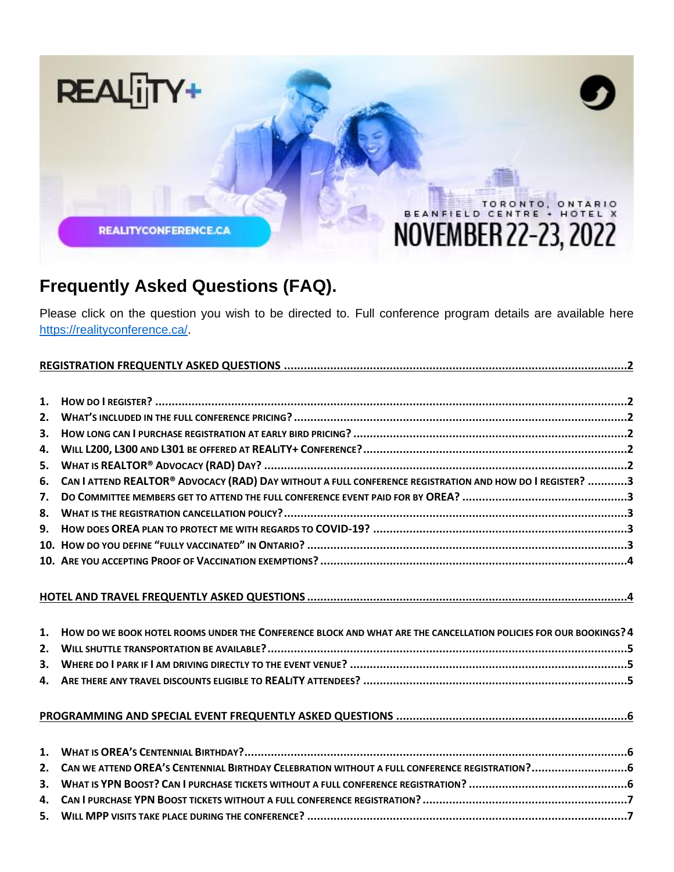

# **Frequently Asked Questions (FAQ).**

Please click on the question you wish to be directed to. Full conference program details are available here [https://realityconference.ca/.](https://realityconference.ca/)

| 1. |                                                                                                                  |
|----|------------------------------------------------------------------------------------------------------------------|
| 2. |                                                                                                                  |
| 3. |                                                                                                                  |
| 4. |                                                                                                                  |
| 5. |                                                                                                                  |
| 6. | CAN I ATTEND REALTOR® ADVOCACY (RAD) DAY WITHOUT A FULL CONFERENCE REGISTRATION AND HOW DO I REGISTER? 3         |
| 7. |                                                                                                                  |
| 8. |                                                                                                                  |
| 9. |                                                                                                                  |
|    |                                                                                                                  |
|    |                                                                                                                  |
|    |                                                                                                                  |
|    |                                                                                                                  |
|    |                                                                                                                  |
|    |                                                                                                                  |
| 1. | HOW DO WE BOOK HOTEL ROOMS UNDER THE CONFERENCE BLOCK AND WHAT ARE THE CANCELLATION POLICIES FOR OUR BOOKINGS? 4 |
| 2. |                                                                                                                  |
| 3. |                                                                                                                  |
| 4. |                                                                                                                  |
|    |                                                                                                                  |
| 1. |                                                                                                                  |
| 2. |                                                                                                                  |
| 3. |                                                                                                                  |
| 4. |                                                                                                                  |
| 5. |                                                                                                                  |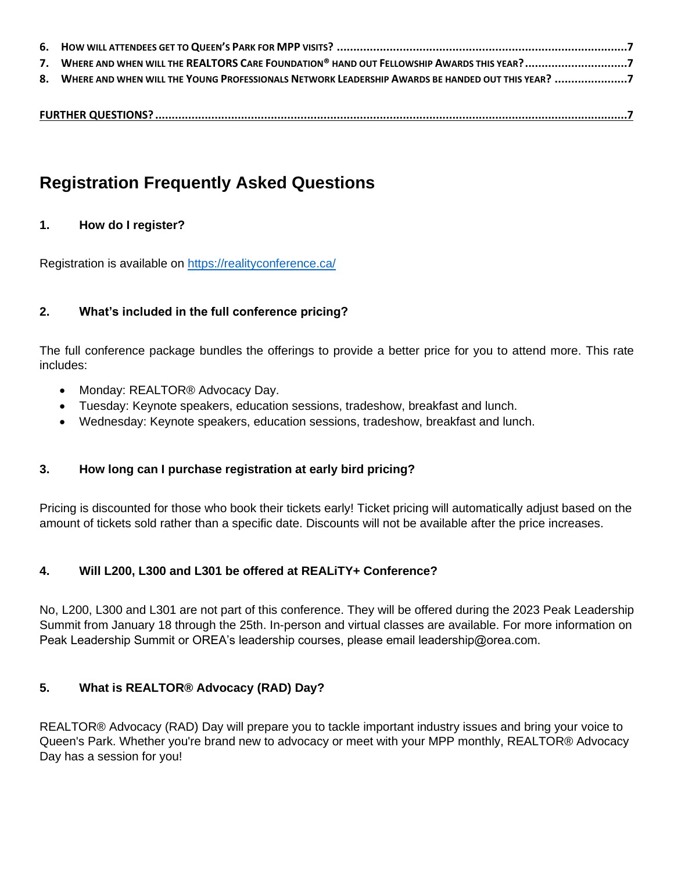| 7. WHERE AND WHEN WILL THE REALTORS CARE FOUNDATION® HAND OUT FELLOWSHIP AWARDS THIS YEAR? 7        |
|-----------------------------------------------------------------------------------------------------|
| 8. WHERE AND WHEN WILL THE YOUNG PROFESSIONALS NETWORK LEADERSHIP AWARDS BE HANDED OUT THIS YEAR? 7 |
|                                                                                                     |
|                                                                                                     |

<span id="page-1-0"></span>

| <b>Registration Frequently Asked Questions</b> |  |  |
|------------------------------------------------|--|--|

## <span id="page-1-1"></span>**1. How do I register?**

Registration is available on<https://realityconference.ca/>

# <span id="page-1-2"></span>**2. What's included in the full conference pricing?**

The full conference package bundles the offerings to provide a better price for you to attend more. This rate includes:

- Monday: REALTOR<sup>®</sup> Advocacy Day.
- Tuesday: Keynote speakers, education sessions, tradeshow, breakfast and lunch.
- Wednesday: Keynote speakers, education sessions, tradeshow, breakfast and lunch.

# <span id="page-1-3"></span>**3. How long can I purchase registration at early bird pricing?**

Pricing is discounted for those who book their tickets early! Ticket pricing will automatically adjust based on the amount of tickets sold rather than a specific date. Discounts will not be available after the price increases.

# <span id="page-1-4"></span>**4. Will L200, L300 and L301 be offered at REALiTY+ Conference?**

No, L200, L300 and L301 are not part of this conference. They will be offered during the 2023 Peak Leadership Summit from January 18 through the 25th. In-person and virtual classes are available. For more information on Peak Leadership Summit or OREA's leadership courses, please email leadership@orea.com.

# <span id="page-1-5"></span>**5. What is REALTOR® Advocacy (RAD) Day?**

REALTOR® Advocacy (RAD) Day will prepare you to tackle important industry issues and bring your voice to Queen's Park. Whether you're brand new to advocacy or meet with your MPP monthly, REALTOR® Advocacy Day has a session for you!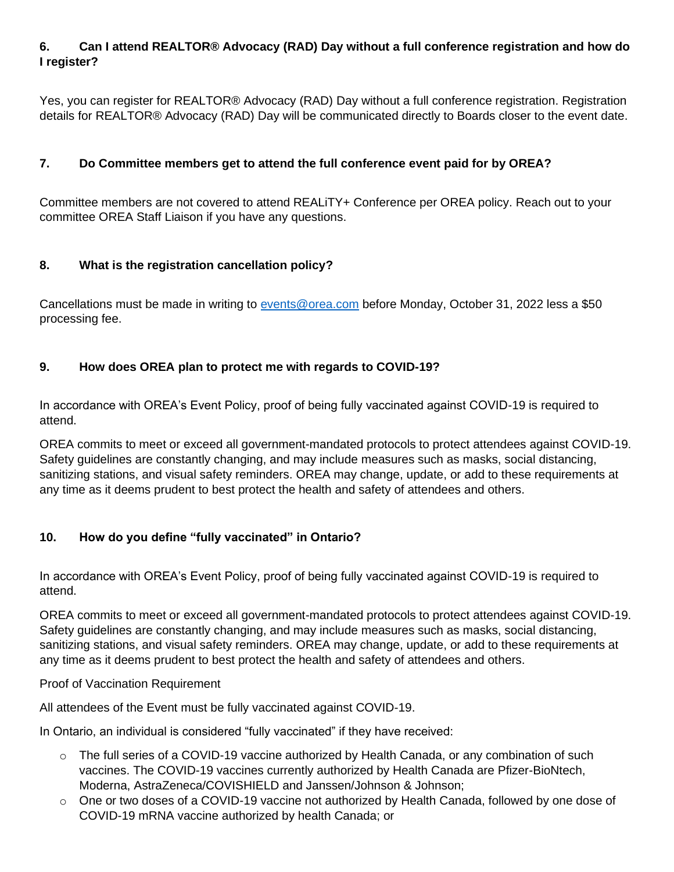# <span id="page-2-0"></span>**6. Can I attend REALTOR® Advocacy (RAD) Day without a full conference registration and how do I register?**

Yes, you can register for REALTOR® Advocacy (RAD) Day without a full conference registration. Registration details for REALTOR® Advocacy (RAD) Day will be communicated directly to Boards closer to the event date.

# <span id="page-2-1"></span>**7. Do Committee members get to attend the full conference event paid for by OREA?**

Committee members are not covered to attend REALiTY+ Conference per OREA policy. Reach out to your committee OREA Staff Liaison if you have any questions.

# <span id="page-2-2"></span>**8. What is the registration cancellation policy?**

Cancellations must be made in writing to [events@orea.com](mailto:events@orea.com) before Monday, October 31, 2022 less a \$50 processing fee.

# <span id="page-2-3"></span>**9. How does OREA plan to protect me with regards to COVID-19?**

In accordance with OREA's Event Policy, proof of being fully vaccinated against COVID-19 is required to attend.

OREA commits to meet or exceed all government-mandated protocols to protect attendees against COVID-19. Safety guidelines are constantly changing, and may include measures such as masks, social distancing, sanitizing stations, and visual safety reminders. OREA may change, update, or add to these requirements at any time as it deems prudent to best protect the health and safety of attendees and others.

# <span id="page-2-4"></span>**10. How do you define "fully vaccinated" in Ontario?**

In accordance with OREA's Event Policy, proof of being fully vaccinated against COVID-19 is required to attend.

OREA commits to meet or exceed all government-mandated protocols to protect attendees against COVID-19. Safety guidelines are constantly changing, and may include measures such as masks, social distancing, sanitizing stations, and visual safety reminders. OREA may change, update, or add to these requirements at any time as it deems prudent to best protect the health and safety of attendees and others.

#### Proof of Vaccination Requirement

All attendees of the Event must be fully vaccinated against COVID-19.

In Ontario, an individual is considered "fully vaccinated" if they have received:

- $\circ$  The full series of a COVID-19 vaccine authorized by Health Canada, or any combination of such vaccines. The COVID-19 vaccines currently authorized by Health Canada are Pfizer-BioNtech, Moderna, AstraZeneca/COVISHIELD and Janssen/Johnson & Johnson;
- $\circ$  One or two doses of a COVID-19 vaccine not authorized by Health Canada, followed by one dose of COVID-19 mRNA vaccine authorized by health Canada; or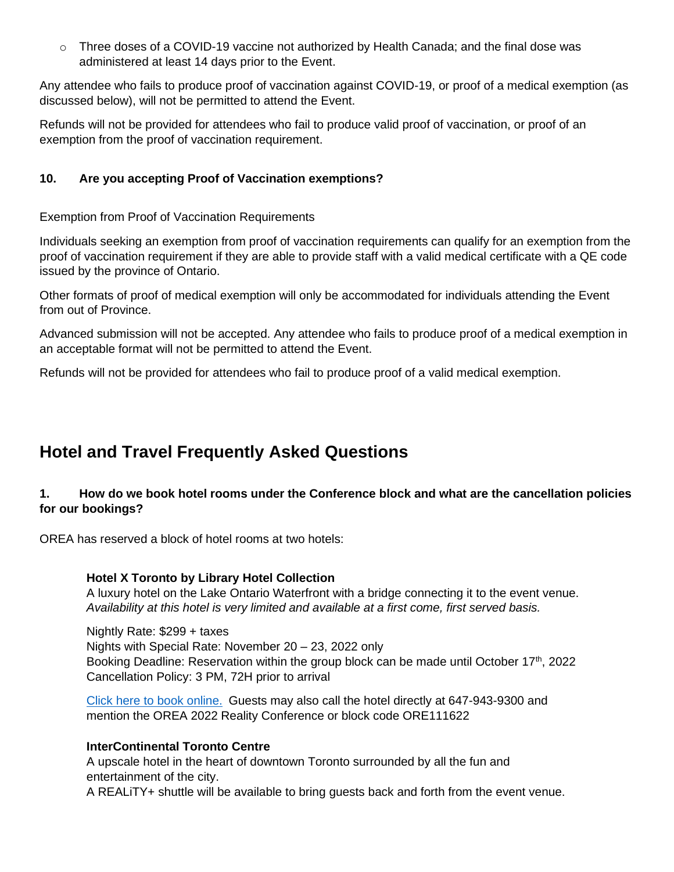o Three doses of a COVID-19 vaccine not authorized by Health Canada; and the final dose was administered at least 14 days prior to the Event.

Any attendee who fails to produce proof of vaccination against COVID-19, or proof of a medical exemption (as discussed below), will not be permitted to attend the Event.

Refunds will not be provided for attendees who fail to produce valid proof of vaccination, or proof of an exemption from the proof of vaccination requirement.

# <span id="page-3-0"></span>**10. Are you accepting Proof of Vaccination exemptions?**

Exemption from Proof of Vaccination Requirements

Individuals seeking an exemption from proof of vaccination requirements can qualify for an exemption from the proof of vaccination requirement if they are able to provide staff with a valid medical certificate with a QE code issued by the province of Ontario.

Other formats of proof of medical exemption will only be accommodated for individuals attending the Event from out of Province.

Advanced submission will not be accepted. Any attendee who fails to produce proof of a medical exemption in an acceptable format will not be permitted to attend the Event.

Refunds will not be provided for attendees who fail to produce proof of a valid medical exemption.

# <span id="page-3-1"></span>**Hotel and Travel Frequently Asked Questions**

# <span id="page-3-2"></span>**1. How do we book hotel rooms under the Conference block and what are the cancellation policies for our bookings?**

OREA has reserved a block of hotel rooms at two hotels:

#### **Hotel X Toronto by Library Hotel Collection**

A luxury hotel on the Lake Ontario Waterfront with a bridge connecting it to the event venue. *Availability at this hotel is very limited and available at a first come, first served basis.* 

Nightly Rate: \$299 + taxes Nights with Special Rate: November 20 – 23, 2022 only Booking Deadline: Reservation within the group block can be made until October 17<sup>th</sup>, 2022 Cancellation Policy: 3 PM, 72H prior to arrival

[Click here to book](https://hotelxtoronto.reztrip.com/ext/promoRate?property=981&mode=b&pm=true&sr=677798&vr=3) online. Guests may also call the hotel directly at 647-943-9300 and mention the OREA 2022 Reality Conference or block code ORE111622

#### **InterContinental Toronto Centre**

A upscale hotel in the heart of downtown Toronto surrounded by all the fun and entertainment of the city. A REALiTY+ shuttle will be available to bring guests back and forth from the event venue.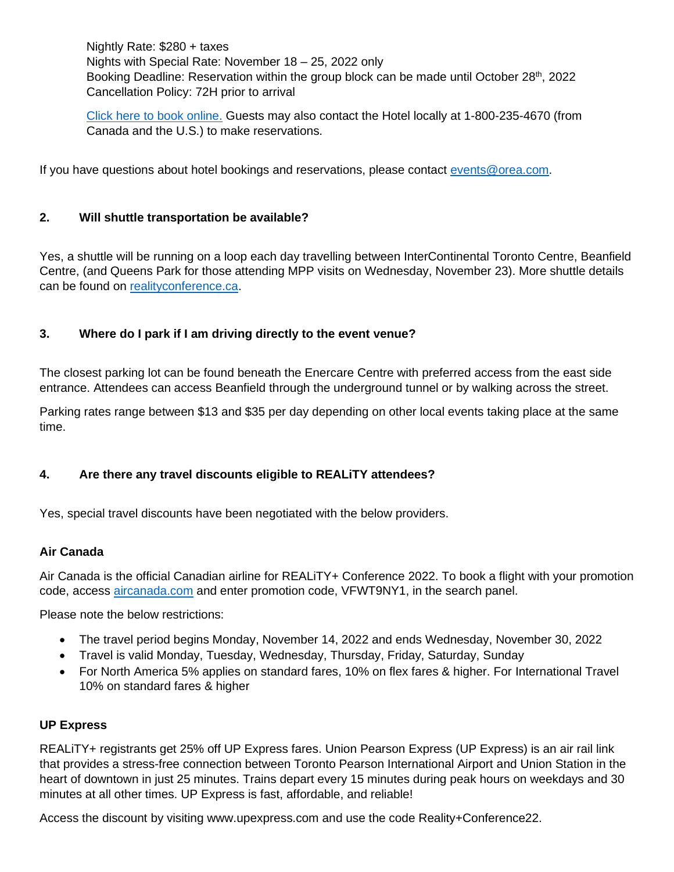Nightly Rate: \$280 + taxes Nights with Special Rate: November 18 – 25, 2022 only Booking Deadline: Reservation within the group block can be made until October 28<sup>th</sup>, 2022 Cancellation Policy: 72H prior to arrival

[Click here to book online.](https://book.passkey.com/go/2022OREA) Guests may also contact the Hotel locally at 1-800-235-4670 (from Canada and the U.S.) to make reservations.

If you have questions about hotel bookings and reservations, please contact [events@orea.com.](mailto:events@orea.com)

## <span id="page-4-0"></span>**2. Will shuttle transportation be available?**

Yes, a shuttle will be running on a loop each day travelling between InterContinental Toronto Centre, Beanfield Centre, (and Queens Park for those attending MPP visits on Wednesday, November 23). More shuttle details can be found on [realityconference.ca.](realityconference.ca)

## <span id="page-4-1"></span>**3. Where do I park if I am driving directly to the event venue?**

The closest parking lot can be found beneath the Enercare Centre with preferred access from the east side entrance. Attendees can access Beanfield through the underground tunnel or by walking across the street.

Parking rates range between \$13 and \$35 per day depending on other local events taking place at the same time.

# <span id="page-4-2"></span>**4. Are there any travel discounts eligible to REALiTY attendees?**

Yes, special travel discounts have been negotiated with the below providers.

## **Air Canada**

Air Canada is the official Canadian airline for REALiTY+ Conference 2022. To book a flight with your promotion code, access [aircanada.com](file:///C:/Users/shannonc/AppData/Roaming/Microsoft/Word/aircanada.com) and enter promotion code, VFWT9NY1, in the search panel.

Please note the below restrictions:

- The travel period begins Monday, November 14, 2022 and ends Wednesday, November 30, 2022
- Travel is valid Monday, Tuesday, Wednesday, Thursday, Friday, Saturday, Sunday
- For North America 5% applies on standard fares, 10% on flex fares & higher. For International Travel 10% on standard fares & higher

#### **UP Express**

REALiTY+ registrants get 25% off UP Express fares. Union Pearson Express (UP Express) is an air rail link that provides a stress-free connection between Toronto Pearson International Airport and Union Station in the heart of downtown in just 25 minutes. Trains depart every 15 minutes during peak hours on weekdays and 30 minutes at all other times. UP Express is fast, affordable, and reliable!

Access the discount by visiting www.upexpress.com and use the code Reality+Conference22.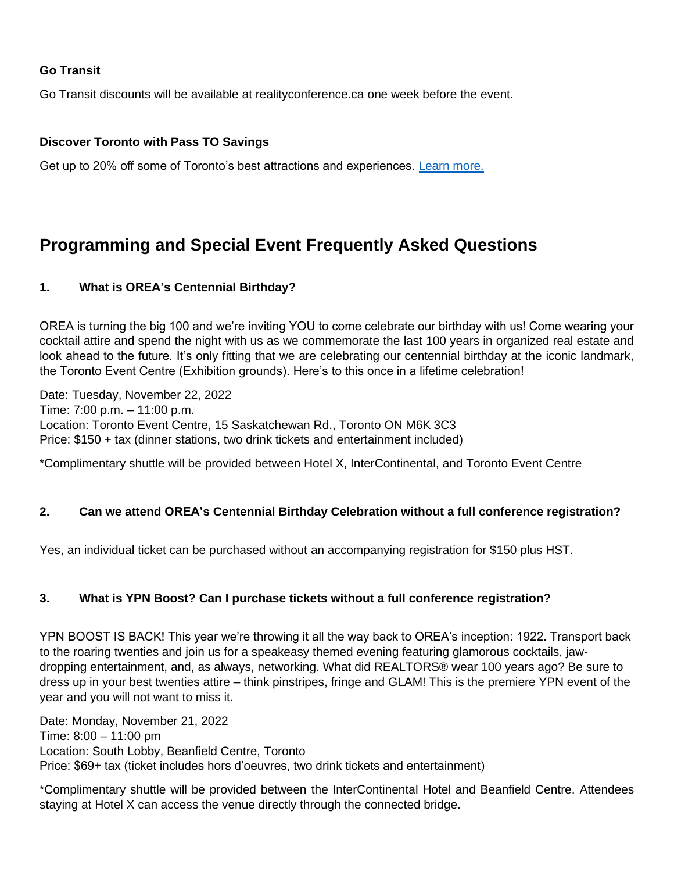## **Go Transit**

Go Transit discounts will be available at realityconference.ca one week before the event.

#### **Discover Toronto with Pass TO Savings**

Get up to 20% off some of Toronto's best attractions and experiences. [Learn more.](https://www.destinationtoronto.com/delegate-microsite/)

# <span id="page-5-0"></span>**Programming and Special Event Frequently Asked Questions**

#### <span id="page-5-1"></span>**1. What is OREA's Centennial Birthday?**

OREA is turning the big 100 and we're inviting YOU to come celebrate our birthday with us! Come wearing your cocktail attire and spend the night with us as we commemorate the last 100 years in organized real estate and look ahead to the future. It's only fitting that we are celebrating our centennial birthday at the iconic landmark, the Toronto Event Centre (Exhibition grounds). Here's to this once in a lifetime celebration!

Date: Tuesday, November 22, 2022 Time: 7:00 p.m. – 11:00 p.m. Location: Toronto Event Centre, 15 Saskatchewan Rd., Toronto ON M6K 3C3 Price: \$150 + tax (dinner stations, two drink tickets and entertainment included)

\*Complimentary shuttle will be provided between Hotel X, InterContinental, and Toronto Event Centre

#### <span id="page-5-2"></span>**2. Can we attend OREA's Centennial Birthday Celebration without a full conference registration?**

Yes, an individual ticket can be purchased without an accompanying registration for \$150 plus HST.

#### <span id="page-5-3"></span>**3. What is YPN Boost? Can I purchase tickets without a full conference registration?**

YPN BOOST IS BACK! This year we're throwing it all the way back to OREA's inception: 1922. Transport back to the roaring twenties and join us for a speakeasy themed evening featuring glamorous cocktails, jawdropping entertainment, and, as always, networking. What did REALTORS® wear 100 years ago? Be sure to dress up in your best twenties attire – think pinstripes, fringe and GLAM! This is the premiere YPN event of the year and you will not want to miss it.

Date: Monday, November 21, 2022 Time: 8:00 – 11:00 pm Location: South Lobby, Beanfield Centre, Toronto Price: \$69+ tax (ticket includes hors d'oeuvres, two drink tickets and entertainment)

\*Complimentary shuttle will be provided between the InterContinental Hotel and Beanfield Centre. Attendees staying at Hotel X can access the venue directly through the connected bridge.